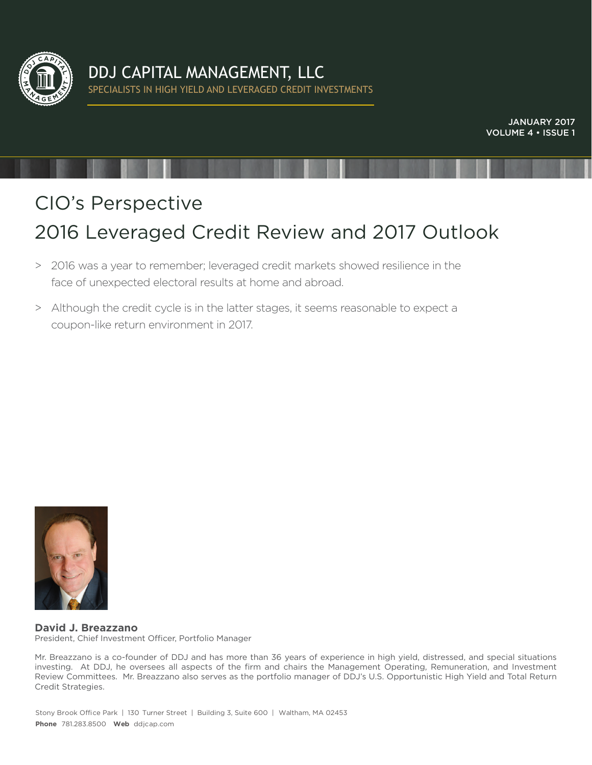

JANUARY 2017 VOLUME 4 • ISSUE 1

# CIO's Perspective 2016 Leveraged Credit Review and 2017 Outlook

- > 2016 was a year to remember; leveraged credit markets showed resilience in the face of unexpected electoral results at home and abroad.
- > Although the credit cycle is in the latter stages, it seems reasonable to expect a coupon-like return environment in 2017.



**David J. Breazzano** President, Chief Investment Officer, Portfolio Manager

Mr. Breazzano is a co-founder of DDJ and has more than 36 years of experience in high yield, distressed, and special situations investing. At DDJ, he oversees all aspects of the firm and chairs the Management Operating, Remuneration, and Investment Review Committees. Mr. Breazzano also serves as the portfolio manager of DDJ's U.S. Opportunistic High Yield and Total Return Credit Strategies.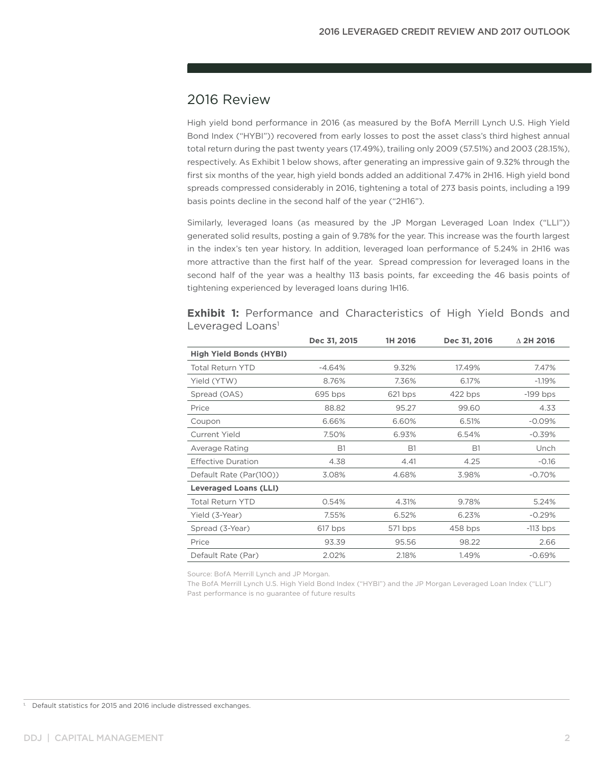## 2016 Review

High yield bond performance in 2016 (as measured by the BofA Merrill Lynch U.S. High Yield Bond Index ("HYBI")) recovered from early losses to post the asset class's third highest annual total return during the past twenty years (17.49%), trailing only 2009 (57.51%) and 2003 (28.15%), respectively. As Exhibit 1 below shows, after generating an impressive gain of 9.32% through the first six months of the year, high yield bonds added an additional 7.47% in 2H16. High yield bond spreads compressed considerably in 2016, tightening a total of 273 basis points, including a 199 basis points decline in the second half of the year ("2H16").

Similarly, leveraged loans (as measured by the JP Morgan Leveraged Loan Index ("LLI")) generated solid results, posting a gain of 9.78% for the year. This increase was the fourth largest in the index's ten year history. In addition, leveraged loan performance of 5.24% in 2H16 was more attractive than the first half of the year. Spread compression for leveraged loans in the second half of the year was a healthy 113 basis points, far exceeding the 46 basis points of tightening experienced by leveraged loans during 1H16.

|                                | Dec 31, 2015 | 1H 2016   | Dec 31, 2016 | $\Delta$ 2H 2016 |
|--------------------------------|--------------|-----------|--------------|------------------|
| <b>High Yield Bonds (HYBI)</b> |              |           |              |                  |
| Total Return YTD               | -4.64%       | 9.32%     | 17.49%       | 7.47%            |
| Yield (YTW)                    | 8.76%        | 7.36%     | 6.17%        | $-1.19%$         |
| Spread (OAS)                   | $695$ bps    | 621 bps   | $422$ bps    | $-199$ bps       |
| Price                          | 88.82        | 95.27     | 99.60        | 4.33             |
| Coupon                         | 6.66%        | 6.60%     | 6.51%        | $-0.09%$         |
| Current Yield                  | 7.50%        | 6.93%     | 6.54%        | $-0.39%$         |
| Average Rating                 | <b>B1</b>    | <b>B1</b> | <b>B1</b>    | Unch             |
| <b>Effective Duration</b>      | 4.38         | 4.41      | 4.25         | $-0.16$          |
| Default Rate (Par(100))        | 3.08%        | 4.68%     | 3.98%        | $-0.70%$         |
| <b>Leveraged Loans (LLI)</b>   |              |           |              |                  |
| <b>Total Return YTD</b>        | 0.54%        | 4.31%     | 9.78%        | 5.24%            |
| Yield (3-Year)                 | 7.55%        | 6.52%     | 6.23%        | $-0.29%$         |
| Spread (3-Year)                | 617 bps      | 571 bps   | 458 bps      | $-113$ bps       |
| Price                          | 93.39        | 95.56     | 98.22        | 2.66             |
| Default Rate (Par)             | 2.02%        | 2.18%     | 1.49%        | $-0.69%$         |

**Exhibit 1:** Performance and Characteristics of High Yield Bonds and Leveraged Loans<sup>1</sup>

Source: BofA Merrill Lynch and JP Morgan.

The BofA Merrill Lynch U.S. High Yield Bond Index ("HYBI") and the JP Morgan Leveraged Loan Index ("LLI") Past performance is no guarantee of future results

<sup>1.</sup> Default statistics for 2015 and 2016 include distressed exchanges.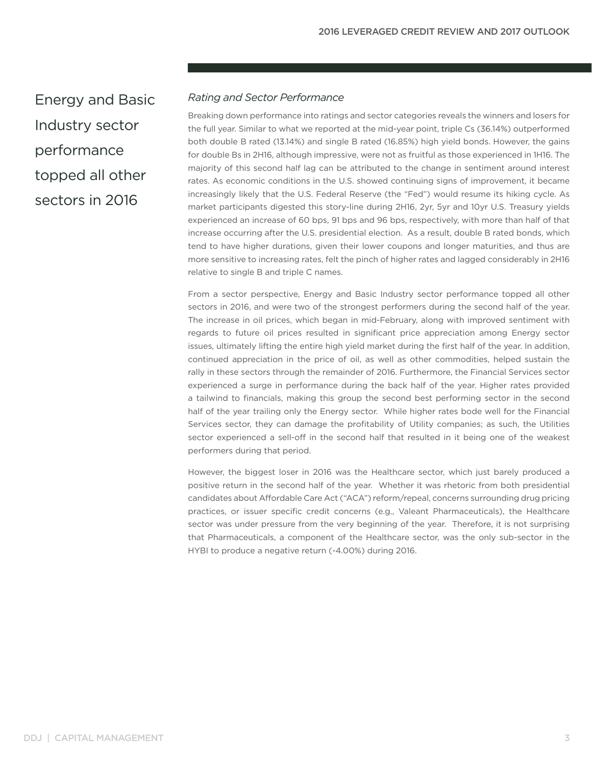Energy and Basic Industry sector performance topped all other sectors in 2016

### *Rating and Sector Performance*

Breaking down performance into ratings and sector categories reveals the winners and losers for the full year. Similar to what we reported at the mid-year point, triple Cs (36.14%) outperformed both double B rated (13.14%) and single B rated (16.85%) high yield bonds. However, the gains for double Bs in 2H16, although impressive, were not as fruitful as those experienced in 1H16. The majority of this second half lag can be attributed to the change in sentiment around interest rates. As economic conditions in the U.S. showed continuing signs of improvement, it became increasingly likely that the U.S. Federal Reserve (the "Fed") would resume its hiking cycle. As market participants digested this story-line during 2H16, 2yr, 5yr and 10yr U.S. Treasury yields experienced an increase of 60 bps, 91 bps and 96 bps, respectively, with more than half of that increase occurring after the U.S. presidential election. As a result, double B rated bonds, which tend to have higher durations, given their lower coupons and longer maturities, and thus are more sensitive to increasing rates, felt the pinch of higher rates and lagged considerably in 2H16 relative to single B and triple C names.

From a sector perspective, Energy and Basic Industry sector performance topped all other sectors in 2016, and were two of the strongest performers during the second half of the year. The increase in oil prices, which began in mid-February, along with improved sentiment with regards to future oil prices resulted in significant price appreciation among Energy sector issues, ultimately lifting the entire high yield market during the first half of the year. In addition, continued appreciation in the price of oil, as well as other commodities, helped sustain the rally in these sectors through the remainder of 2016. Furthermore, the Financial Services sector experienced a surge in performance during the back half of the year. Higher rates provided a tailwind to financials, making this group the second best performing sector in the second half of the year trailing only the Energy sector. While higher rates bode well for the Financial Services sector, they can damage the profitability of Utility companies; as such, the Utilities sector experienced a sell-off in the second half that resulted in it being one of the weakest performers during that period.

However, the biggest loser in 2016 was the Healthcare sector, which just barely produced a positive return in the second half of the year. Whether it was rhetoric from both presidential candidates about Affordable Care Act ("ACA") reform/repeal, concerns surrounding drug pricing practices, or issuer specific credit concerns (e.g., Valeant Pharmaceuticals), the Healthcare sector was under pressure from the very beginning of the year. Therefore, it is not surprising that Pharmaceuticals, a component of the Healthcare sector, was the only sub-sector in the HYBI to produce a negative return (-4.00%) during 2016.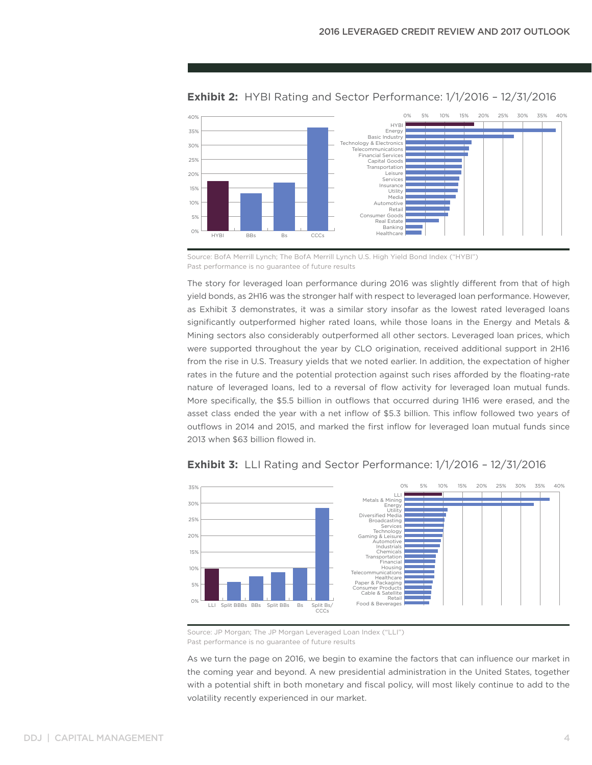

#### **Exhibit 2:** HYBI Rating and Sector Performance: 1/1/2016 – 12/31/2016

Source: BofA Merrill Lynch; The BofA Merrill Lynch U.S. High Yield Bond Index ("HYBI") Past performance is no guarantee of future results

The story for leveraged loan performance during 2016 was slightly different from that of high yield bonds, as 2H16 was the stronger half with respect to leveraged loan performance. However, as Exhibit 3 demonstrates, it was a similar story insofar as the lowest rated leveraged loans significantly outperformed higher rated loans, while those loans in the Energy and Metals & Mining sectors also considerably outperformed all other sectors. Leveraged loan prices, which were supported throughout the year by CLO origination, received additional support in 2H16 from the rise in U.S. Treasury yields that we noted earlier. In addition, the expectation of higher rates in the future and the potential protection against such rises afforded by the floating-rate nature of leveraged loans, led to a reversal of flow activity for leveraged loan mutual funds. More specifically, the \$5.5 billion in outflows that occurred during 1H16 were erased, and the asset class ended the year with a net inflow of \$5.3 billion. This inflow followed two years of outflows in 2014 and 2015, and marked the first inflow for leveraged loan mutual funds since 2013 when \$63 billion flowed in.



#### **Exhibit 3:** LLI Rating and Sector Performance: 1/1/2016 – 12/31/2016

Source: JP Morgan; The JP Morgan Leveraged Loan Index ("LLI") Past performance is no guarantee of future results

As we turn the page on 2016, we begin to examine the factors that can influence our market in the coming year and beyond. A new presidential administration in the United States, together with a potential shift in both monetary and fiscal policy, will most likely continue to add to the volatility recently experienced in our market.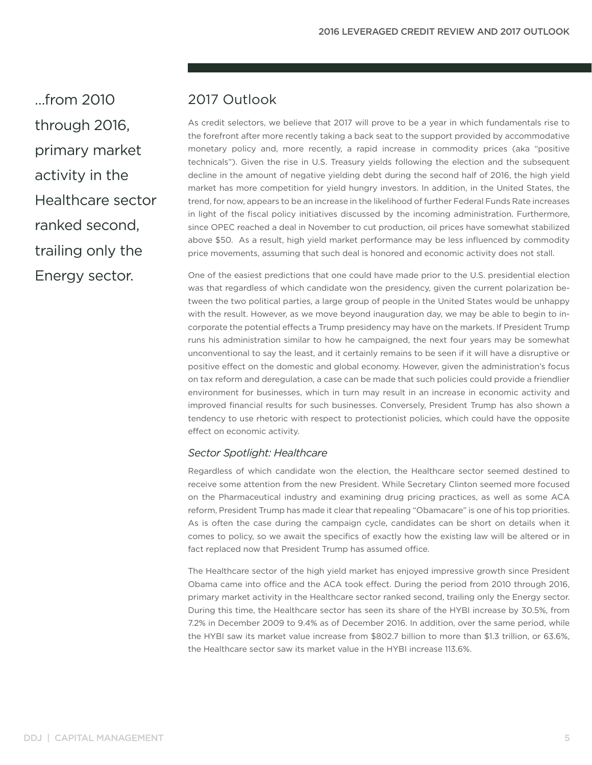…from 2010 through 2016, primary market activity in the Healthcare sector ranked second, trailing only the Energy sector.

## 2017 Outlook

As credit selectors, we believe that 2017 will prove to be a year in which fundamentals rise to the forefront after more recently taking a back seat to the support provided by accommodative monetary policy and, more recently, a rapid increase in commodity prices (aka "positive technicals"). Given the rise in U.S. Treasury yields following the election and the subsequent decline in the amount of negative yielding debt during the second half of 2016, the high yield market has more competition for yield hungry investors. In addition, in the United States, the trend, for now, appears to be an increase in the likelihood of further Federal Funds Rate increases in light of the fiscal policy initiatives discussed by the incoming administration. Furthermore, since OPEC reached a deal in November to cut production, oil prices have somewhat stabilized above \$50. As a result, high yield market performance may be less influenced by commodity price movements, assuming that such deal is honored and economic activity does not stall.

One of the easiest predictions that one could have made prior to the U.S. presidential election was that regardless of which candidate won the presidency, given the current polarization between the two political parties, a large group of people in the United States would be unhappy with the result. However, as we move beyond inauguration day, we may be able to begin to incorporate the potential effects a Trump presidency may have on the markets. If President Trump runs his administration similar to how he campaigned, the next four years may be somewhat unconventional to say the least, and it certainly remains to be seen if it will have a disruptive or positive effect on the domestic and global economy. However, given the administration's focus on tax reform and deregulation, a case can be made that such policies could provide a friendlier environment for businesses, which in turn may result in an increase in economic activity and improved financial results for such businesses. Conversely, President Trump has also shown a tendency to use rhetoric with respect to protectionist policies, which could have the opposite effect on economic activity.

#### *Sector Spotlight: Healthcare*

Regardless of which candidate won the election, the Healthcare sector seemed destined to receive some attention from the new President. While Secretary Clinton seemed more focused on the Pharmaceutical industry and examining drug pricing practices, as well as some ACA reform, President Trump has made it clear that repealing "Obamacare" is one of his top priorities. As is often the case during the campaign cycle, candidates can be short on details when it comes to policy, so we await the specifics of exactly how the existing law will be altered or in fact replaced now that President Trump has assumed office.

The Healthcare sector of the high yield market has enjoyed impressive growth since President Obama came into office and the ACA took effect. During the period from 2010 through 2016, primary market activity in the Healthcare sector ranked second, trailing only the Energy sector. During this time, the Healthcare sector has seen its share of the HYBI increase by 30.5%, from 7.2% in December 2009 to 9.4% as of December 2016. In addition, over the same period, while the HYBI saw its market value increase from \$802.7 billion to more than \$1.3 trillion, or 63.6%, the Healthcare sector saw its market value in the HYBI increase 113.6%.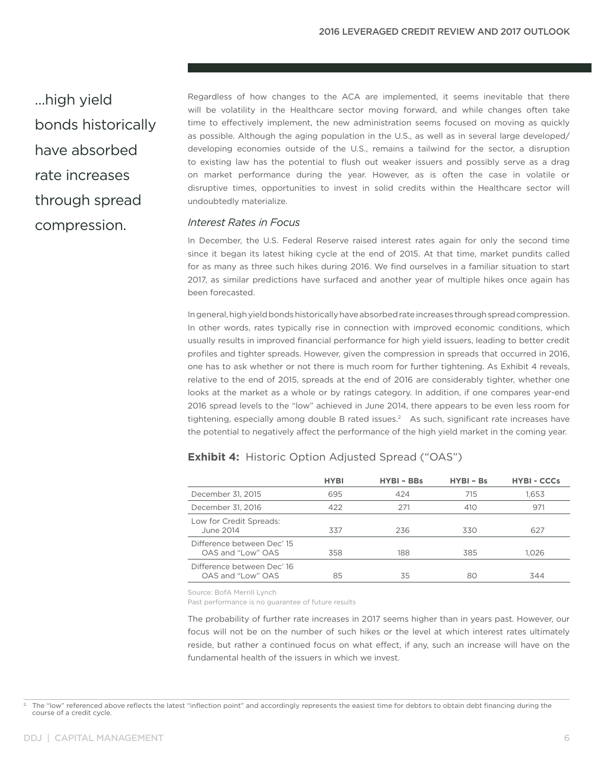…high yield bonds historically have absorbed rate increases through spread compression.

Regardless of how changes to the ACA are implemented, it seems inevitable that there will be volatility in the Healthcare sector moving forward, and while changes often take time to effectively implement, the new administration seems focused on moving as quickly as possible. Although the aging population in the U.S., as well as in several large developed/ developing economies outside of the U.S., remains a tailwind for the sector, a disruption to existing law has the potential to flush out weaker issuers and possibly serve as a drag on market performance during the year. However, as is often the case in volatile or disruptive times, opportunities to invest in solid credits within the Healthcare sector will undoubtedly materialize.

#### *Interest Rates in Focus*

In December, the U.S. Federal Reserve raised interest rates again for only the second time since it began its latest hiking cycle at the end of 2015. At that time, market pundits called for as many as three such hikes during 2016. We find ourselves in a familiar situation to start 2017, as similar predictions have surfaced and another year of multiple hikes once again has been forecasted.

In general, high yield bonds historically have absorbed rate increases through spread compression. In other words, rates typically rise in connection with improved economic conditions, which usually results in improved financial performance for high yield issuers, leading to better credit profiles and tighter spreads. However, given the compression in spreads that occurred in 2016, one has to ask whether or not there is much room for further tightening. As Exhibit 4 reveals, relative to the end of 2015, spreads at the end of 2016 are considerably tighter, whether one looks at the market as a whole or by ratings category. In addition, if one compares year-end 2016 spread levels to the "low" achieved in June 2014, there appears to be even less room for tightening, especially among double B rated issues.<sup>2</sup> As such, significant rate increases have the potential to negatively affect the performance of the high yield market in the coming year.

|                                                 | <b>HYBI</b> | <b>HYBI - BBs</b> | $HYBI - BS$ | <b>HYBI - CCCs</b> |
|-------------------------------------------------|-------------|-------------------|-------------|--------------------|
| December 31, 2015                               | 695         | 424               | 715         | 1,653              |
| December 31, 2016                               | 422         | 271               | 410         | 971                |
| Low for Credit Spreads:<br>June 2014            | 337         | 236               | 330         | 627                |
| Difference between Dec' 15<br>OAS and "Low" OAS | 358         | 188               | 385         | 1.026              |
| Difference between Dec' 16<br>OAS and "Low" OAS | 85          | 35                | 80          | 344                |

#### **Exhibit 4:** Historic Option Adjusted Spread ("OAS")

Source: BofA Merrill Lynch

Past performance is no guarantee of future results

The probability of further rate increases in 2017 seems higher than in years past. However, our focus will not be on the number of such hikes or the level at which interest rates ultimately reside, but rather a continued focus on what effect, if any, such an increase will have on the fundamental health of the issuers in which we invest.

<sup>&</sup>lt;sup>2</sup> The "low" referenced above reflects the latest "inflection point" and accordingly represents the easiest time for debtors to obtain debt financing during the course of a credit cycle.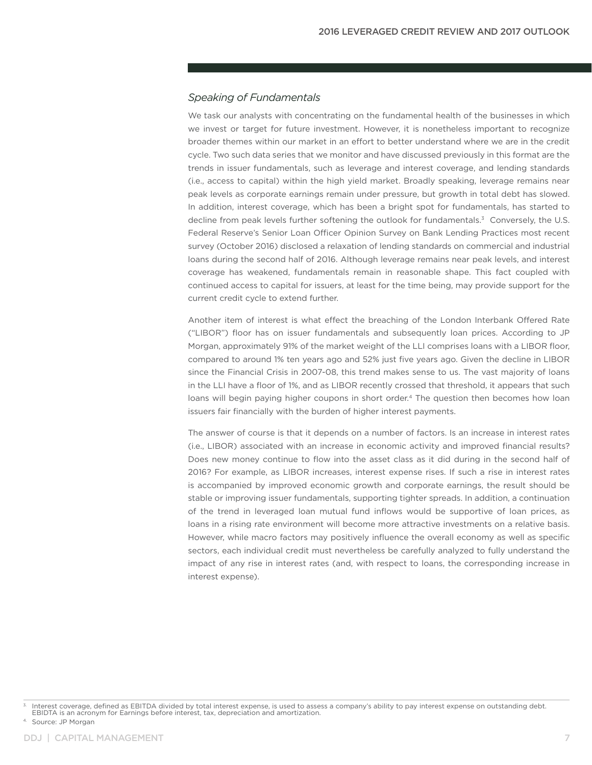#### *Speaking of Fundamentals*

We task our analysts with concentrating on the fundamental health of the businesses in which we invest or target for future investment. However, it is nonetheless important to recognize broader themes within our market in an effort to better understand where we are in the credit cycle. Two such data series that we monitor and have discussed previously in this format are the trends in issuer fundamentals, such as leverage and interest coverage, and lending standards (i.e., access to capital) within the high yield market. Broadly speaking, leverage remains near peak levels as corporate earnings remain under pressure, but growth in total debt has slowed. In addition, interest coverage, which has been a bright spot for fundamentals, has started to decline from peak levels further softening the outlook for fundamentals.<sup>3</sup> Conversely, the U.S. Federal Reserve's Senior Loan Officer Opinion Survey on Bank Lending Practices most recent survey (October 2016) disclosed a relaxation of lending standards on commercial and industrial loans during the second half of 2016. Although leverage remains near peak levels, and interest coverage has weakened, fundamentals remain in reasonable shape. This fact coupled with continued access to capital for issuers, at least for the time being, may provide support for the current credit cycle to extend further.

Another item of interest is what effect the breaching of the London Interbank Offered Rate ("LIBOR") floor has on issuer fundamentals and subsequently loan prices. According to JP Morgan, approximately 91% of the market weight of the LLI comprises loans with a LIBOR floor, compared to around 1% ten years ago and 52% just five years ago. Given the decline in LIBOR since the Financial Crisis in 2007-08, this trend makes sense to us. The vast majority of loans in the LLI have a floor of 1%, and as LIBOR recently crossed that threshold, it appears that such loans will begin paying higher coupons in short order.<sup>4</sup> The question then becomes how loan issuers fair financially with the burden of higher interest payments.

The answer of course is that it depends on a number of factors. Is an increase in interest rates (i.e., LIBOR) associated with an increase in economic activity and improved financial results? Does new money continue to flow into the asset class as it did during in the second half of 2016? For example, as LIBOR increases, interest expense rises. If such a rise in interest rates is accompanied by improved economic growth and corporate earnings, the result should be stable or improving issuer fundamentals, supporting tighter spreads. In addition, a continuation of the trend in leveraged loan mutual fund inflows would be supportive of loan prices, as loans in a rising rate environment will become more attractive investments on a relative basis. However, while macro factors may positively influence the overall economy as well as specific sectors, each individual credit must nevertheless be carefully analyzed to fully understand the impact of any rise in interest rates (and, with respect to loans, the corresponding increase in interest expense).

4. Source: JP Morgan

<sup>3.</sup> Interest coverage, defined as EBITDA divided by total interest expense, is used to assess a company's ability to pay interest expense on outstanding debt. EBIDTA is an acronym for Earnings before interest, tax, depreciation and amortization.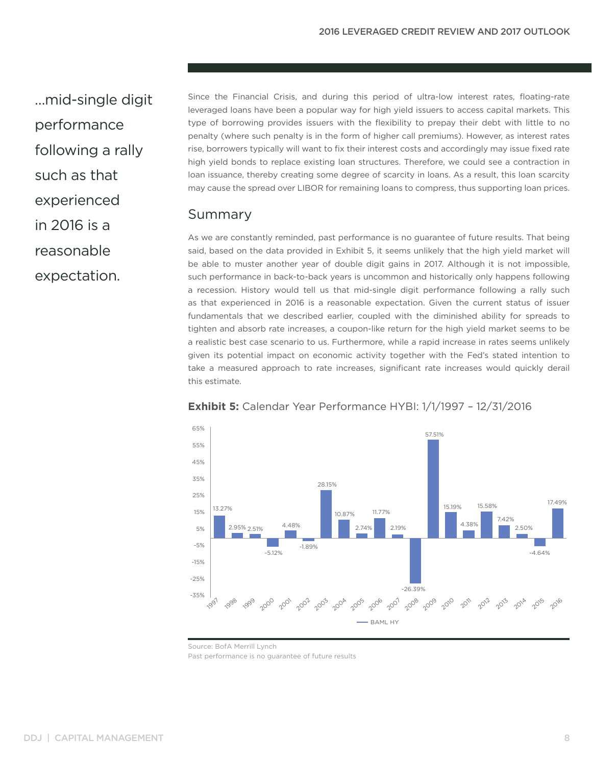…mid-single digit performance following a rally such as that experienced in 2016 is a reasonable expectation.

Since the Financial Crisis, and during this period of ultra-low interest rates, floating-rate leveraged loans have been a popular way for high yield issuers to access capital markets. This type of borrowing provides issuers with the flexibility to prepay their debt with little to no penalty (where such penalty is in the form of higher call premiums). However, as interest rates rise, borrowers typically will want to fix their interest costs and accordingly may issue fixed rate high yield bonds to replace existing loan structures. Therefore, we could see a contraction in loan issuance, thereby creating some degree of scarcity in loans. As a result, this loan scarcity may cause the spread over LIBOR for remaining loans to compress, thus supporting loan prices.

### Summary

As we are constantly reminded, past performance is no guarantee of future results. That being said, based on the data provided in Exhibit 5, it seems unlikely that the high yield market will be able to muster another year of double digit gains in 2017. Although it is not impossible, such performance in back-to-back years is uncommon and historically only happens following a recession. History would tell us that mid-single digit performance following a rally such as that experienced in 2016 is a reasonable expectation. Given the current status of issuer fundamentals that we described earlier, coupled with the diminished ability for spreads to tighten and absorb rate increases, a coupon-like return for the high yield market seems to be a realistic best case scenario to us. Furthermore, while a rapid increase in rates seems unlikely given its potential impact on economic activity together with the Fed's stated intention to take a measured approach to rate increases, significant rate increases would quickly derail this estimate.



**Exhibit 5:** Calendar Year Performance HYBI: 1/1/1997 – 12/31/2016

Past performance is no guarantee of future results

Source: BofA Merrill Lynch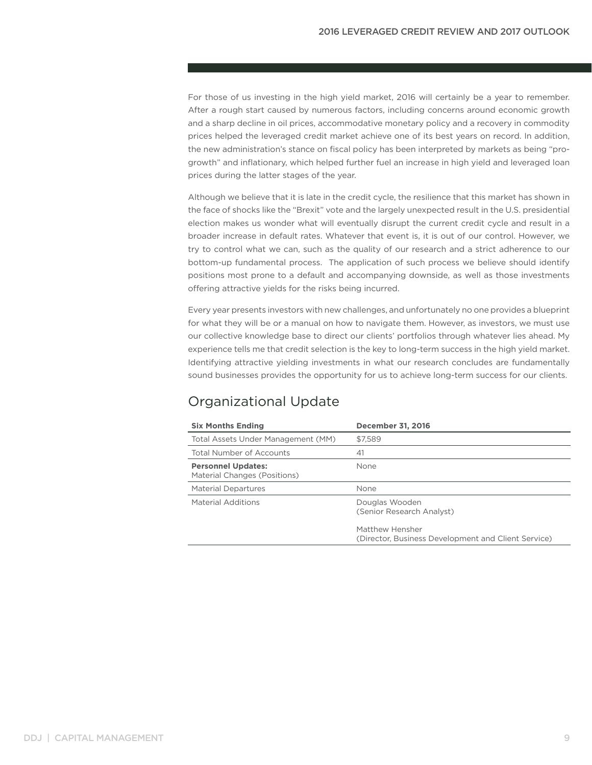For those of us investing in the high yield market, 2016 will certainly be a year to remember. After a rough start caused by numerous factors, including concerns around economic growth and a sharp decline in oil prices, accommodative monetary policy and a recovery in commodity prices helped the leveraged credit market achieve one of its best years on record. In addition, the new administration's stance on fiscal policy has been interpreted by markets as being "progrowth" and inflationary, which helped further fuel an increase in high yield and leveraged loan prices during the latter stages of the year.

Although we believe that it is late in the credit cycle, the resilience that this market has shown in the face of shocks like the "Brexit" vote and the largely unexpected result in the U.S. presidential election makes us wonder what will eventually disrupt the current credit cycle and result in a broader increase in default rates. Whatever that event is, it is out of our control. However, we try to control what we can, such as the quality of our research and a strict adherence to our bottom-up fundamental process. The application of such process we believe should identify positions most prone to a default and accompanying downside, as well as those investments offering attractive yields for the risks being incurred.

Every year presents investors with new challenges, and unfortunately no one provides a blueprint for what they will be or a manual on how to navigate them. However, as investors, we must use our collective knowledge base to direct our clients' portfolios through whatever lies ahead. My experience tells me that credit selection is the key to long-term success in the high yield market. Identifying attractive yielding investments in what our research concludes are fundamentally sound businesses provides the opportunity for us to achieve long-term success for our clients.

## Organizational Update

| <b>Six Months Ending</b>                                  | <b>December 31, 2016</b>                                               |
|-----------------------------------------------------------|------------------------------------------------------------------------|
| Total Assets Under Management (MM)                        | \$7.589                                                                |
| <b>Total Number of Accounts</b>                           | 41                                                                     |
| <b>Personnel Updates:</b><br>Material Changes (Positions) | None                                                                   |
| <b>Material Departures</b>                                | None                                                                   |
| <b>Material Additions</b>                                 | Douglas Wooden<br>(Senior Research Analyst)                            |
|                                                           | Matthew Hensher<br>(Director, Business Development and Client Service) |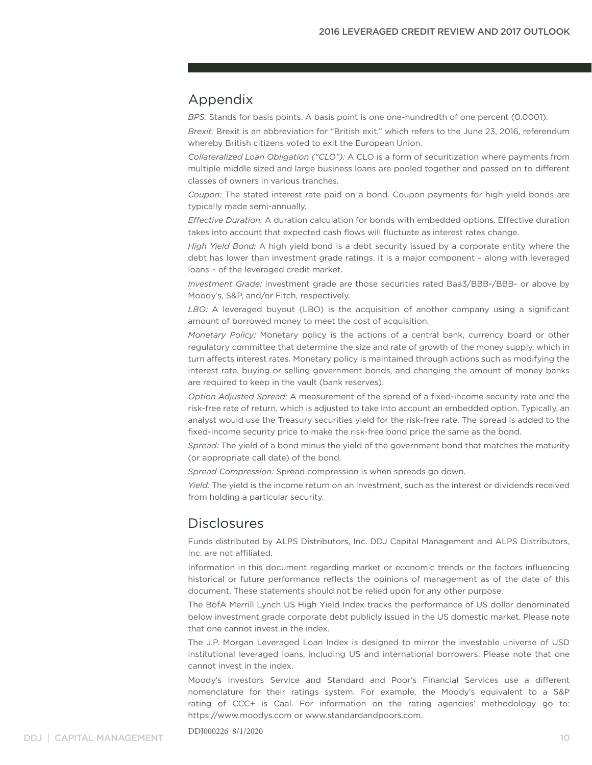## Appendix

*BPS:* Stands for basis points. A basis point is one one-hundredth of one percent (0.0001).

*Brexit:* Brexit is an abbreviation for "British exit," which refers to the June 23, 2016, referendum whereby British citizens voted to exit the European Union.

*Collateralized Loan Obligation ("CLO"):* A CLO is a form of securitization where payments from multiple middle sized and large business loans are pooled together and passed on to different classes of owners in various tranches.

*Coupon:* The stated interest rate paid on a bond. Coupon payments for high yield bonds are typically made semi-annually.

*Effective Duration:* A duration calculation for bonds with embedded options. Effective duration takes into account that expected cash flows will fluctuate as interest rates change.

*High Yield Bond:* A high yield bond is a debt security issued by a corporate entity where the debt has lower than investment grade ratings. It is a major component – along with leveraged loans – of the leveraged credit market.

*Investment Grade:* investment grade are those securities rated Baa3/BBB-/BBB- or above by Moody's, S&P, and/or Fitch, respectively.

*LBO:* A leveraged buyout (LBO) is the acquisition of another company using a significant amount of borrowed money to meet the cost of acquisition.

*Monetary Policy:* Monetary policy is the actions of a central bank, currency board or other regulatory committee that determine the size and rate of growth of the money supply, which in turn affects interest rates. Monetary policy is maintained through actions such as modifying the interest rate, buying or selling government bonds, and changing the amount of money banks are required to keep in the vault (bank reserves).

*Option Adjusted Spread:* A measurement of the spread of a fixed-income security rate and the risk-free rate of return, which is adjusted to take into account an embedded option. Typically, an analyst would use the Treasury securities yield for the risk-free rate. The spread is added to the fixed-income security price to make the risk-free bond price the same as the bond.

*Spread:* The yield of a bond minus the yield of the government bond that matches the maturity (or appropriate call date) of the bond.

*Spread Compression:* Spread compression is when spreads go down.

*Yield:* The yield is the income return on an investment, such as the interest or dividends received from holding a particular security.

## Disclosures

Funds distributed by ALPS Distributors, Inc. DDJ Capital Management and ALPS Distributors, Inc. are not affiliated.

Information in this document regarding market or economic trends or the factors influencing historical or future performance reflects the opinions of management as of the date of this document. These statements should not be relied upon for any other purpose.

The BofA Merrill Lynch US High Yield Index tracks the performance of US dollar denominated below investment grade corporate debt publicly issued in the US domestic market. Please note that one cannot invest in the index.

The J.P. Morgan Leveraged Loan Index is designed to mirror the investable universe of USD institutional leveraged loans, including US and international borrowers. Please note that one cannot invest in the index.

Moody's Investors Service and Standard and Poor's Financial Services use a different nomenclature for their ratings system. For example, the Moody's equivalent to a S&P rating of CCC+ is Caal. For information on the rating agencies' methodology go to: https://www.moodys.com or www.standardandpoors.com.

DDJ000226 8/1/2020